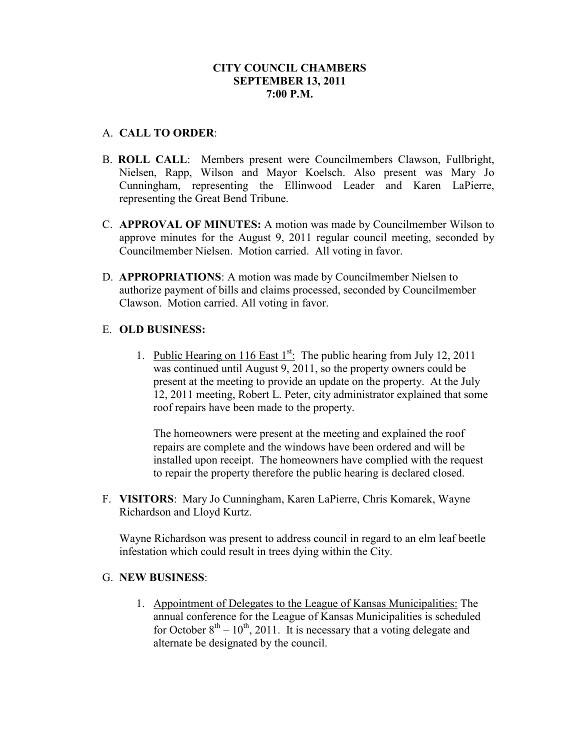## **CITY COUNCIL CHAMBERS SEPTEMBER 13, 2011 7:00 P.M.**

## A. **CALL TO ORDER**:

- B. **ROLL CALL**: Members present were Councilmembers Clawson, Fullbright, Nielsen, Rapp, Wilson and Mayor Koelsch. Also present was Mary Jo Cunningham, representing the Ellinwood Leader and Karen LaPierre, representing the Great Bend Tribune.
- C. **APPROVAL OF MINUTES:** A motion was made by Councilmember Wilson to approve minutes for the August 9, 2011 regular council meeting, seconded by Councilmember Nielsen. Motion carried. All voting in favor.
- D. **APPROPRIATIONS**: A motion was made by Councilmember Nielsen to authorize payment of bills and claims processed, seconded by Councilmember Clawson. Motion carried. All voting in favor.

# E. **OLD BUSINESS:**

1. Public Hearing on 116 East  $1^{st}$ . The public hearing from July 12, 2011 was continued until August 9, 2011, so the property owners could be present at the meeting to provide an update on the property. At the July 12, 2011 meeting, Robert L. Peter, city administrator explained that some roof repairs have been made to the property.

The homeowners were present at the meeting and explained the roof repairs are complete and the windows have been ordered and will be installed upon receipt. The homeowners have complied with the request to repair the property therefore the public hearing is declared closed.

F. **VISITORS**: Mary Jo Cunningham, Karen LaPierre, Chris Komarek, Wayne Richardson and Lloyd Kurtz.

Wayne Richardson was present to address council in regard to an elm leaf beetle infestation which could result in trees dying within the City.

### G. **NEW BUSINESS**:

1. Appointment of Delegates to the League of Kansas Municipalities: The annual conference for the League of Kansas Municipalities is scheduled for October  $8<sup>th</sup> - 10<sup>th</sup>$ , 2011. It is necessary that a voting delegate and alternate be designated by the council.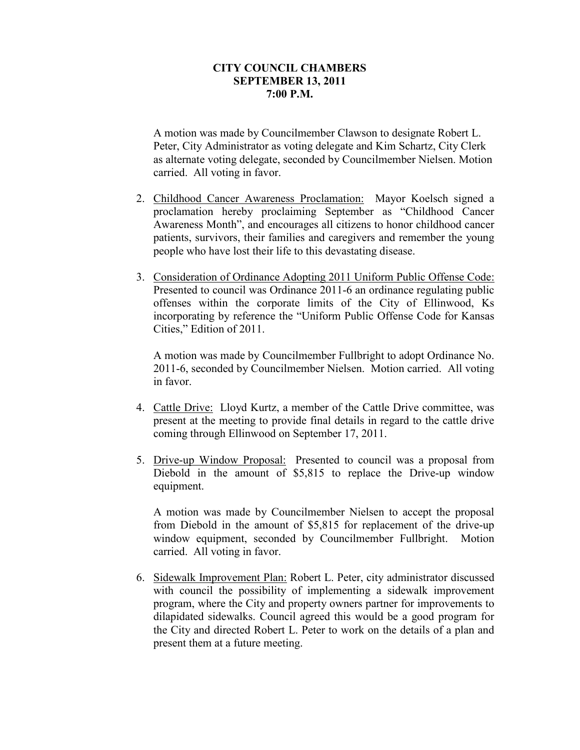#### **CITY COUNCIL CHAMBERS SEPTEMBER 13, 2011 7:00 P.M.**

A motion was made by Councilmember Clawson to designate Robert L. Peter, City Administrator as voting delegate and Kim Schartz, City Clerk as alternate voting delegate, seconded by Councilmember Nielsen. Motion carried. All voting in favor.

- 2. Childhood Cancer Awareness Proclamation: Mayor Koelsch signed a proclamation hereby proclaiming September as "Childhood Cancer Awareness Month", and encourages all citizens to honor childhood cancer patients, survivors, their families and caregivers and remember the young people who have lost their life to this devastating disease.
- 3. Consideration of Ordinance Adopting 2011 Uniform Public Offense Code: Presented to council was Ordinance 2011-6 an ordinance regulating public offenses within the corporate limits of the City of Ellinwood, Ks incorporating by reference the "Uniform Public Offense Code for Kansas Cities," Edition of 2011.

A motion was made by Councilmember Fullbright to adopt Ordinance No. 2011-6, seconded by Councilmember Nielsen. Motion carried. All voting in favor.

- 4. Cattle Drive: Lloyd Kurtz, a member of the Cattle Drive committee, was present at the meeting to provide final details in regard to the cattle drive coming through Ellinwood on September 17, 2011.
- 5. Drive-up Window Proposal: Presented to council was a proposal from Diebold in the amount of \$5,815 to replace the Drive-up window equipment.

A motion was made by Councilmember Nielsen to accept the proposal from Diebold in the amount of \$5,815 for replacement of the drive-up window equipment, seconded by Councilmember Fullbright. Motion carried. All voting in favor.

6. Sidewalk Improvement Plan: Robert L. Peter, city administrator discussed with council the possibility of implementing a sidewalk improvement program, where the City and property owners partner for improvements to dilapidated sidewalks. Council agreed this would be a good program for the City and directed Robert L. Peter to work on the details of a plan and present them at a future meeting.